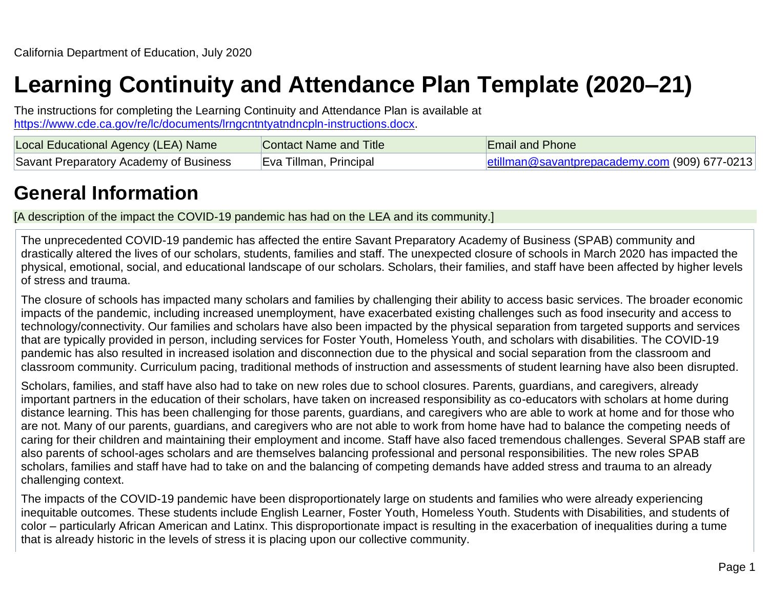# **Learning Continuity and Attendance Plan Template (2020–21)**

The instructions for completing the Learning Continuity and Attendance Plan is available at [https://www.cde.ca.gov/re/lc/documents/lrngcntntyatndncpln-instructions.docx.](https://www.cde.ca.gov/re/lc/documents/lrngcntntyatndncpln-instructions.docx)

| Local Educational Agency (LEA) Name    | Contact Name and Title | <b>Email and Phone</b>                        |
|----------------------------------------|------------------------|-----------------------------------------------|
| Savant Preparatory Academy of Business | Eva Tillman, Principal | etillman@savantprepacademy.com (909) 677-0213 |

## **General Information**

[A description of the impact the COVID-19 pandemic has had on the LEA and its community.]

The unprecedented COVID-19 pandemic has affected the entire Savant Preparatory Academy of Business (SPAB) community and drastically altered the lives of our scholars, students, families and staff. The unexpected closure of schools in March 2020 has impacted the physical, emotional, social, and educational landscape of our scholars. Scholars, their families, and staff have been affected by higher levels of stress and trauma.

The closure of schools has impacted many scholars and families by challenging their ability to access basic services. The broader economic impacts of the pandemic, including increased unemployment, have exacerbated existing challenges such as food insecurity and access to technology/connectivity. Our families and scholars have also been impacted by the physical separation from targeted supports and services that are typically provided in person, including services for Foster Youth, Homeless Youth, and scholars with disabilities. The COVID-19 pandemic has also resulted in increased isolation and disconnection due to the physical and social separation from the classroom and classroom community. Curriculum pacing, traditional methods of instruction and assessments of student learning have also been disrupted.

Scholars, families, and staff have also had to take on new roles due to school closures. Parents, guardians, and caregivers, already important partners in the education of their scholars, have taken on increased responsibility as co-educators with scholars at home during distance learning. This has been challenging for those parents, guardians, and caregivers who are able to work at home and for those who are not. Many of our parents, guardians, and caregivers who are not able to work from home have had to balance the competing needs of caring for their children and maintaining their employment and income. Staff have also faced tremendous challenges. Several SPAB staff are also parents of school-ages scholars and are themselves balancing professional and personal responsibilities. The new roles SPAB scholars, families and staff have had to take on and the balancing of competing demands have added stress and trauma to an already challenging context.

The impacts of the COVID-19 pandemic have been disproportionately large on students and families who were already experiencing inequitable outcomes. These students include English Learner, Foster Youth, Homeless Youth. Students with Disabilities, and students of color – particularly African American and Latinx. This disproportionate impact is resulting in the exacerbation of inequalities during a tume that is already historic in the levels of stress it is placing upon our collective community.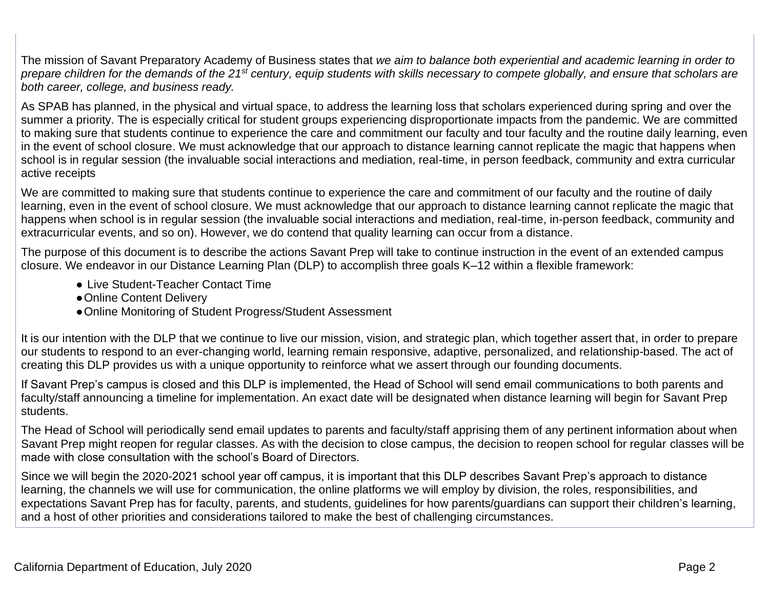The mission of Savant Preparatory Academy of Business states that *we aim to balance both experiential and academic learning in order to prepare children for the demands of the 21st century, equip students with skills necessary to compete globally, and ensure that scholars are both career, college, and business ready.*

As SPAB has planned, in the physical and virtual space, to address the learning loss that scholars experienced during spring and over the summer a priority. The is especially critical for student groups experiencing disproportionate impacts from the pandemic. We are committed to making sure that students continue to experience the care and commitment our faculty and tour faculty and the routine daily learning, even in the event of school closure. We must acknowledge that our approach to distance learning cannot replicate the magic that happens when school is in regular session (the invaluable social interactions and mediation, real-time, in person feedback, community and extra curricular active receipts

We are committed to making sure that students continue to experience the care and commitment of our faculty and the routine of daily learning, even in the event of school closure. We must acknowledge that our approach to distance learning cannot replicate the magic that happens when school is in regular session (the invaluable social interactions and mediation, real-time, in-person feedback, community and extracurricular events, and so on). However, we do contend that quality learning can occur from a distance.

The purpose of this document is to describe the actions Savant Prep will take to continue instruction in the event of an extended campus closure. We endeavor in our Distance Learning Plan (DLP) to accomplish three goals K–12 within a flexible framework:

- Live Student-Teacher Contact Time
- ●Online Content Delivery
- ●Online Monitoring of Student Progress/Student Assessment

It is our intention with the DLP that we continue to live our mission, vision, and strategic plan, which together assert that, in order to prepare our students to respond to an ever-changing world, learning remain responsive, adaptive, personalized, and relationship-based. The act of creating this DLP provides us with a unique opportunity to reinforce what we assert through our founding documents.

If Savant Prep's campus is closed and this DLP is implemented, the Head of School will send email communications to both parents and faculty/staff announcing a timeline for implementation. An exact date will be designated when distance learning will begin for Savant Prep students.

The Head of School will periodically send email updates to parents and faculty/staff apprising them of any pertinent information about when Savant Prep might reopen for regular classes. As with the decision to close campus, the decision to reopen school for regular classes will be made with close consultation with the school's Board of Directors.

Since we will begin the 2020-2021 school year off campus, it is important that this DLP describes Savant Prep's approach to distance learning, the channels we will use for communication, the online platforms we will employ by division, the roles, responsibilities, and expectations Savant Prep has for faculty, parents, and students, guidelines for how parents/guardians can support their children's learning, and a host of other priorities and considerations tailored to make the best of challenging circumstances.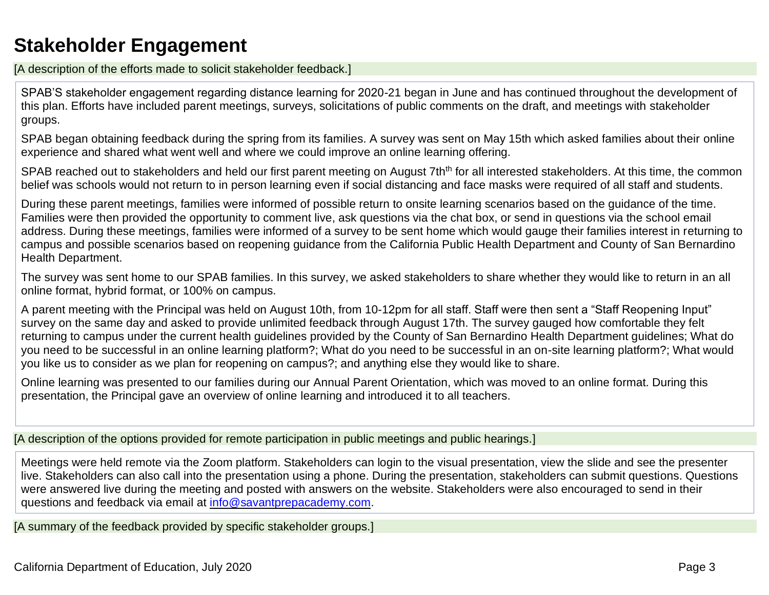## **Stakeholder Engagement**

[A description of the efforts made to solicit stakeholder feedback.]

SPAB'S stakeholder engagement regarding distance learning for 2020-21 began in June and has continued throughout the development of this plan. Efforts have included parent meetings, surveys, solicitations of public comments on the draft, and meetings with stakeholder groups.

SPAB began obtaining feedback during the spring from its families. A survey was sent on May 15th which asked families about their online experience and shared what went well and where we could improve an online learning offering.

SPAB reached out to stakeholders and held our first parent meeting on August 7th<sup>th</sup> for all interested stakeholders. At this time, the common belief was schools would not return to in person learning even if social distancing and face masks were required of all staff and students.

During these parent meetings, families were informed of possible return to onsite learning scenarios based on the guidance of the time. Families were then provided the opportunity to comment live, ask questions via the chat box, or send in questions via the school email address. During these meetings, families were informed of a survey to be sent home which would gauge their families interest in returning to campus and possible scenarios based on reopening guidance from the California Public Health Department and County of San Bernardino Health Department.

The survey was sent home to our SPAB families. In this survey, we asked stakeholders to share whether they would like to return in an all online format, hybrid format, or 100% on campus.

A parent meeting with the Principal was held on August 10th, from 10-12pm for all staff. Staff were then sent a "Staff Reopening Input" survey on the same day and asked to provide unlimited feedback through August 17th. The survey gauged how comfortable they felt returning to campus under the current health guidelines provided by the County of San Bernardino Health Department guidelines; What do you need to be successful in an online learning platform?; What do you need to be successful in an on-site learning platform?; What would you like us to consider as we plan for reopening on campus?; and anything else they would like to share.

Online learning was presented to our families during our Annual Parent Orientation, which was moved to an online format. During this presentation, the Principal gave an overview of online learning and introduced it to all teachers.

[A description of the options provided for remote participation in public meetings and public hearings.]

Meetings were held remote via the Zoom platform. Stakeholders can login to the visual presentation, view the slide and see the presenter live. Stakeholders can also call into the presentation using a phone. During the presentation, stakeholders can submit questions. Questions were answered live during the meeting and posted with answers on the website. Stakeholders were also encouraged to send in their questions and feedback via email at [info@savantprepacademy.com.](mailto:info@savantprepacademy.com)

[A summary of the feedback provided by specific stakeholder groups.]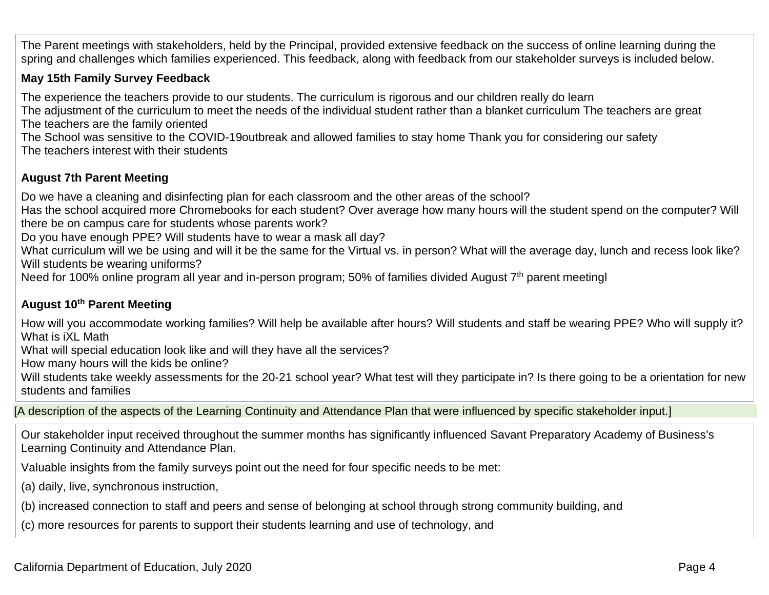The Parent meetings with stakeholders, held by the Principal, provided extensive feedback on the success of online learning during the spring and challenges which families experienced. This feedback, along with feedback from our stakeholder surveys is included below.

### **May 15th Family Survey Feedback**

The experience the teachers provide to our students. The curriculum is rigorous and our children really do learn

The adjustment of the curriculum to meet the needs of the individual student rather than a blanket curriculum The teachers are great The teachers are the family oriented

The School was sensitive to the COVID-19outbreak and allowed families to stay home Thank you for considering our safety The teachers interest with their students

## **August 7th Parent Meeting**

Do we have a cleaning and disinfecting plan for each classroom and the other areas of the school?

Has the school acquired more Chromebooks for each student? Over average how many hours will the student spend on the computer? Will there be on campus care for students whose parents work?

Do you have enough PPE? Will students have to wear a mask all day?

What curriculum will we be using and will it be the same for the Virtual vs. in person? What will the average day, lunch and recess look like? Will students be wearing uniforms?

Need for 100% online program all year and in-person program; 50% of families divided August 7<sup>th</sup> parent meetingl

### **August 10th Parent Meeting**

How will you accommodate working families? Will help be available after hours? Will students and staff be wearing PPE? Who will supply it? What is iXL Math

What will special education look like and will they have all the services?

How many hours will the kids be online?

Will students take weekly assessments for the 20-21 school year? What test will they participate in? Is there going to be a orientation for new students and families

[A description of the aspects of the Learning Continuity and Attendance Plan that were influenced by specific stakeholder input.]

Our stakeholder input received throughout the summer months has significantly influenced Savant Preparatory Academy of Business's Learning Continuity and Attendance Plan.

Valuable insights from the family surveys point out the need for four specific needs to be met:

(a) daily, live, synchronous instruction,

(b) increased connection to staff and peers and sense of belonging at school through strong community building, and

(c) more resources for parents to support their students learning and use of technology, and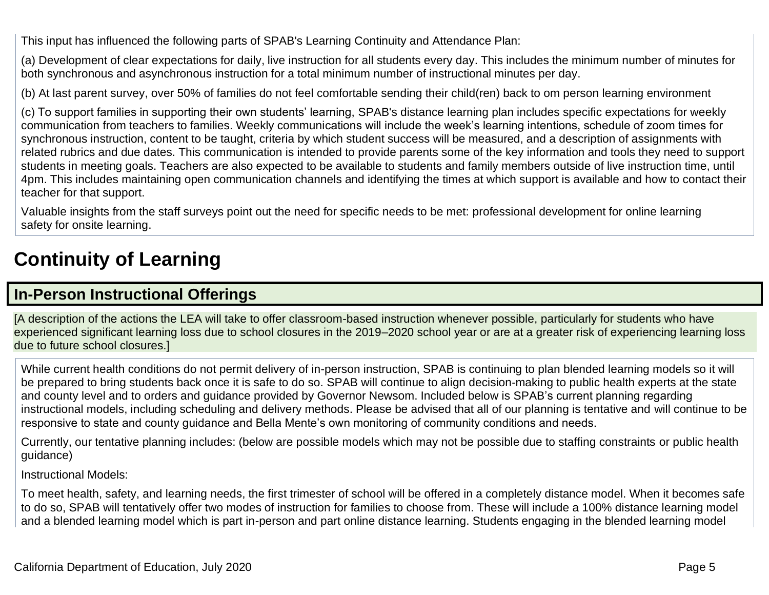This input has influenced the following parts of SPAB's Learning Continuity and Attendance Plan:

(a) Development of clear expectations for daily, live instruction for all students every day. This includes the minimum number of minutes for both synchronous and asynchronous instruction for a total minimum number of instructional minutes per day.

(b) At last parent survey, over 50% of families do not feel comfortable sending their child(ren) back to om person learning environment

(c) To support families in supporting their own students' learning, SPAB's distance learning plan includes specific expectations for weekly communication from teachers to families. Weekly communications will include the week's learning intentions, schedule of zoom times for synchronous instruction, content to be taught, criteria by which student success will be measured, and a description of assignments with related rubrics and due dates. This communication is intended to provide parents some of the key information and tools they need to support students in meeting goals. Teachers are also expected to be available to students and family members outside of live instruction time, until 4pm. This includes maintaining open communication channels and identifying the times at which support is available and how to contact their teacher for that support.

Valuable insights from the staff surveys point out the need for specific needs to be met: professional development for online learning safety for onsite learning.

# **Continuity of Learning**

## **In-Person Instructional Offerings**

[A description of the actions the LEA will take to offer classroom-based instruction whenever possible, particularly for students who have experienced significant learning loss due to school closures in the 2019–2020 school year or are at a greater risk of experiencing learning loss due to future school closures.]

While current health conditions do not permit delivery of in-person instruction, SPAB is continuing to plan blended learning models so it will be prepared to bring students back once it is safe to do so. SPAB will continue to align decision-making to public health experts at the state and county level and to orders and guidance provided by Governor Newsom. Included below is SPAB's current planning regarding instructional models, including scheduling and delivery methods. Please be advised that all of our planning is tentative and will continue to be responsive to state and county guidance and Bella Mente's own monitoring of community conditions and needs.

Currently, our tentative planning includes: (below are possible models which may not be possible due to staffing constraints or public health guidance)

#### Instructional Models:

To meet health, safety, and learning needs, the first trimester of school will be offered in a completely distance model. When it becomes safe to do so, SPAB will tentatively offer two modes of instruction for families to choose from. These will include a 100% distance learning model and a blended learning model which is part in-person and part online distance learning. Students engaging in the blended learning model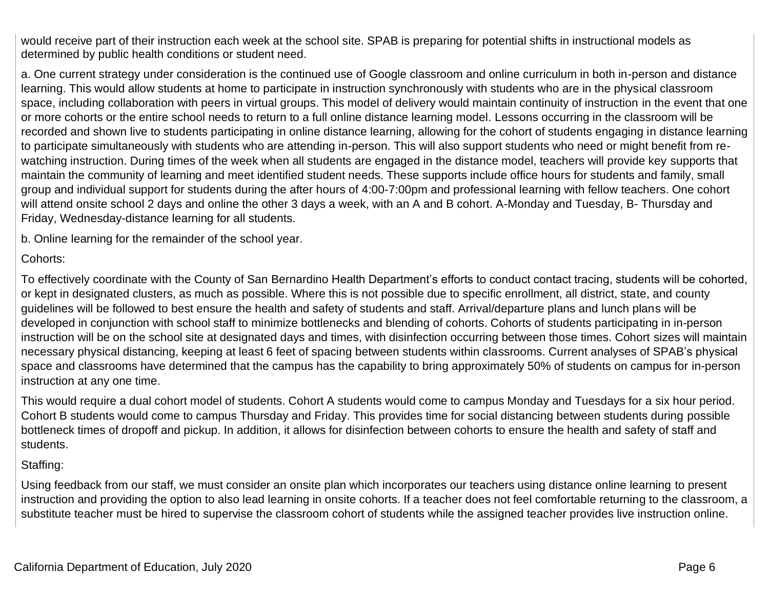would receive part of their instruction each week at the school site. SPAB is preparing for potential shifts in instructional models as determined by public health conditions or student need.

a. One current strategy under consideration is the continued use of Google classroom and online curriculum in both in-person and distance learning. This would allow students at home to participate in instruction synchronously with students who are in the physical classroom space, including collaboration with peers in virtual groups. This model of delivery would maintain continuity of instruction in the event that one or more cohorts or the entire school needs to return to a full online distance learning model. Lessons occurring in the classroom will be recorded and shown live to students participating in online distance learning, allowing for the cohort of students engaging in distance learning to participate simultaneously with students who are attending in-person. This will also support students who need or might benefit from rewatching instruction. During times of the week when all students are engaged in the distance model, teachers will provide key supports that maintain the community of learning and meet identified student needs. These supports include office hours for students and family, small group and individual support for students during the after hours of 4:00-7:00pm and professional learning with fellow teachers. One cohort will attend onsite school 2 days and online the other 3 days a week, with an A and B cohort. A-Monday and Tuesday, B- Thursday and Friday, Wednesday-distance learning for all students.

b. Online learning for the remainder of the school year.

#### Cohorts:

To effectively coordinate with the County of San Bernardino Health Department's efforts to conduct contact tracing, students will be cohorted, or kept in designated clusters, as much as possible. Where this is not possible due to specific enrollment, all district, state, and county guidelines will be followed to best ensure the health and safety of students and staff. Arrival/departure plans and lunch plans will be developed in conjunction with school staff to minimize bottlenecks and blending of cohorts. Cohorts of students participating in in-person instruction will be on the school site at designated days and times, with disinfection occurring between those times. Cohort sizes will maintain necessary physical distancing, keeping at least 6 feet of spacing between students within classrooms. Current analyses of SPAB's physical space and classrooms have determined that the campus has the capability to bring approximately 50% of students on campus for in-person instruction at any one time.

This would require a dual cohort model of students. Cohort A students would come to campus Monday and Tuesdays for a six hour period. Cohort B students would come to campus Thursday and Friday. This provides time for social distancing between students during possible bottleneck times of dropoff and pickup. In addition, it allows for disinfection between cohorts to ensure the health and safety of staff and students.

### Staffing:

Using feedback from our staff, we must consider an onsite plan which incorporates our teachers using distance online learning to present instruction and providing the option to also lead learning in onsite cohorts. If a teacher does not feel comfortable returning to the classroom, a substitute teacher must be hired to supervise the classroom cohort of students while the assigned teacher provides live instruction online.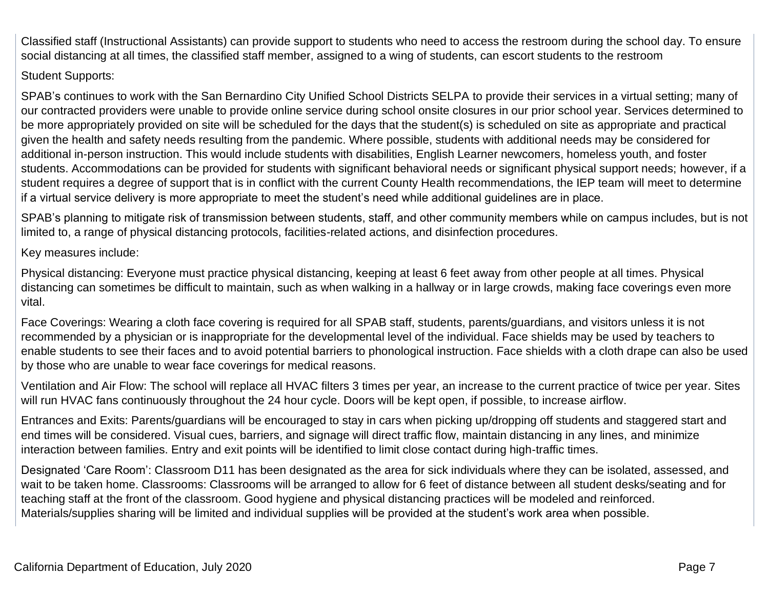Classified staff (Instructional Assistants) can provide support to students who need to access the restroom during the school day. To ensure social distancing at all times, the classified staff member, assigned to a wing of students, can escort students to the restroom

### Student Supports:

SPAB's continues to work with the San Bernardino City Unified School Districts SELPA to provide their services in a virtual setting; many of our contracted providers were unable to provide online service during school onsite closures in our prior school year. Services determined to be more appropriately provided on site will be scheduled for the days that the student(s) is scheduled on site as appropriate and practical given the health and safety needs resulting from the pandemic. Where possible, students with additional needs may be considered for additional in-person instruction. This would include students with disabilities, English Learner newcomers, homeless youth, and foster students. Accommodations can be provided for students with significant behavioral needs or significant physical support needs; however, if a student requires a degree of support that is in conflict with the current County Health recommendations, the IEP team will meet to determine if a virtual service delivery is more appropriate to meet the student's need while additional guidelines are in place.

SPAB's planning to mitigate risk of transmission between students, staff, and other community members while on campus includes, but is not limited to, a range of physical distancing protocols, facilities-related actions, and disinfection procedures.

Key measures include:

Physical distancing: Everyone must practice physical distancing, keeping at least 6 feet away from other people at all times. Physical distancing can sometimes be difficult to maintain, such as when walking in a hallway or in large crowds, making face coverings even more vital.

Face Coverings: Wearing a cloth face covering is required for all SPAB staff, students, parents/guardians, and visitors unless it is not recommended by a physician or is inappropriate for the developmental level of the individual. Face shields may be used by teachers to enable students to see their faces and to avoid potential barriers to phonological instruction. Face shields with a cloth drape can also be used by those who are unable to wear face coverings for medical reasons.

Ventilation and Air Flow: The school will replace all HVAC filters 3 times per year, an increase to the current practice of twice per year. Sites will run HVAC fans continuously throughout the 24 hour cycle. Doors will be kept open, if possible, to increase airflow.

Entrances and Exits: Parents/guardians will be encouraged to stay in cars when picking up/dropping off students and staggered start and end times will be considered. Visual cues, barriers, and signage will direct traffic flow, maintain distancing in any lines, and minimize interaction between families. Entry and exit points will be identified to limit close contact during high-traffic times.

Designated 'Care Room': Classroom D11 has been designated as the area for sick individuals where they can be isolated, assessed, and wait to be taken home. Classrooms: Classrooms will be arranged to allow for 6 feet of distance between all student desks/seating and for teaching staff at the front of the classroom. Good hygiene and physical distancing practices will be modeled and reinforced. Materials/supplies sharing will be limited and individual supplies will be provided at the student's work area when possible.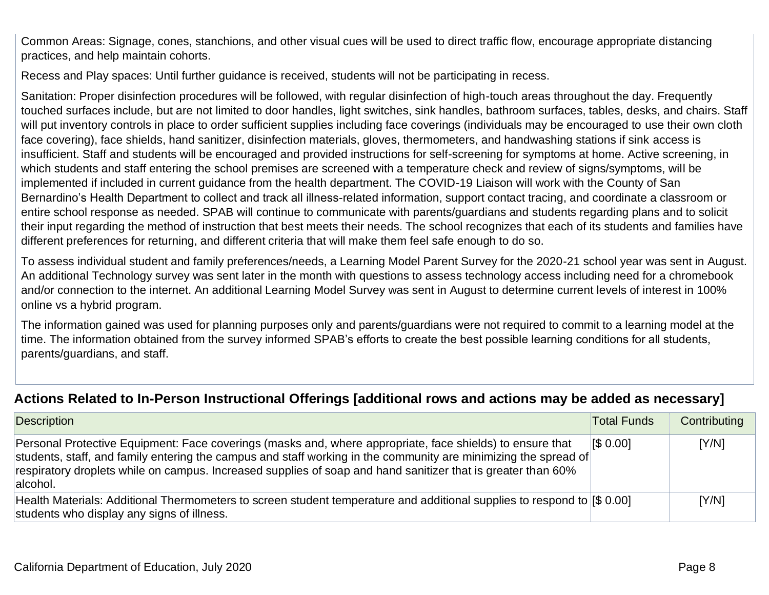Common Areas: Signage, cones, stanchions, and other visual cues will be used to direct traffic flow, encourage appropriate distancing practices, and help maintain cohorts.

Recess and Play spaces: Until further guidance is received, students will not be participating in recess.

Sanitation: Proper disinfection procedures will be followed, with regular disinfection of high-touch areas throughout the day. Frequently touched surfaces include, but are not limited to door handles, light switches, sink handles, bathroom surfaces, tables, desks, and chairs. Staff will put inventory controls in place to order sufficient supplies including face coverings (individuals may be encouraged to use their own cloth face covering), face shields, hand sanitizer, disinfection materials, gloves, thermometers, and handwashing stations if sink access is insufficient. Staff and students will be encouraged and provided instructions for self-screening for symptoms at home. Active screening, in which students and staff entering the school premises are screened with a temperature check and review of signs/symptoms, will be implemented if included in current guidance from the health department. The COVID-19 Liaison will work with the County of San Bernardino's Health Department to collect and track all illness-related information, support contact tracing, and coordinate a classroom or entire school response as needed. SPAB will continue to communicate with parents/guardians and students regarding plans and to solicit their input regarding the method of instruction that best meets their needs. The school recognizes that each of its students and families have different preferences for returning, and different criteria that will make them feel safe enough to do so.

To assess individual student and family preferences/needs, a Learning Model Parent Survey for the 2020-21 school year was sent in August. An additional Technology survey was sent later in the month with questions to assess technology access including need for a chromebook and/or connection to the internet. An additional Learning Model Survey was sent in August to determine current levels of interest in 100% online vs a hybrid program.

The information gained was used for planning purposes only and parents/guardians were not required to commit to a learning model at the time. The information obtained from the survey informed SPAB's efforts to create the best possible learning conditions for all students, parents/guardians, and staff.

## **Actions Related to In-Person Instructional Offerings [additional rows and actions may be added as necessary]**

| Description                                                                                                                                                                                                                                                                                                                                              | <b>Total Funds</b> | Contributing |
|----------------------------------------------------------------------------------------------------------------------------------------------------------------------------------------------------------------------------------------------------------------------------------------------------------------------------------------------------------|--------------------|--------------|
| Personal Protective Equipment: Face coverings (masks and, where appropriate, face shields) to ensure that<br>students, staff, and family entering the campus and staff working in the community are minimizing the spread of<br>respiratory droplets while on campus. Increased supplies of soap and hand sanitizer that is greater than 60%<br>alcohol. | IS 0.001           | [Y/N]        |
| Health Materials: Additional Thermometers to screen student temperature and additional supplies to respond to [\$ 0.00]<br>students who display any signs of illness.                                                                                                                                                                                    |                    | [Y/N]        |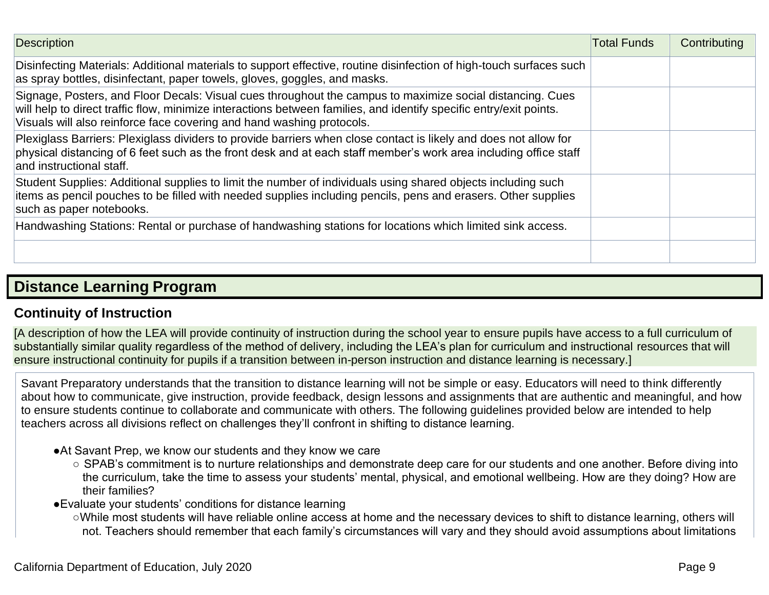| <b>Description</b>                                                                                                                                                                                                                                                                                       | <b>Total Funds</b> | Contributing |
|----------------------------------------------------------------------------------------------------------------------------------------------------------------------------------------------------------------------------------------------------------------------------------------------------------|--------------------|--------------|
| Disinfecting Materials: Additional materials to support effective, routine disinfection of high-touch surfaces such<br>as spray bottles, disinfectant, paper towels, gloves, goggles, and masks.                                                                                                         |                    |              |
| Signage, Posters, and Floor Decals: Visual cues throughout the campus to maximize social distancing. Cues<br>will help to direct traffic flow, minimize interactions between families, and identify specific entry/exit points.<br>Visuals will also reinforce face covering and hand washing protocols. |                    |              |
| Plexiglass Barriers: Plexiglass dividers to provide barriers when close contact is likely and does not allow for<br>physical distancing of 6 feet such as the front desk and at each staff member's work area including office staff<br>and instructional staff.                                         |                    |              |
| Student Supplies: Additional supplies to limit the number of individuals using shared objects including such<br>items as pencil pouches to be filled with needed supplies including pencils, pens and erasers. Other supplies<br>such as paper notebooks.                                                |                    |              |
| Handwashing Stations: Rental or purchase of handwashing stations for locations which limited sink access.                                                                                                                                                                                                |                    |              |
|                                                                                                                                                                                                                                                                                                          |                    |              |

## **Distance Learning Program**

## **Continuity of Instruction**

[A description of how the LEA will provide continuity of instruction during the school year to ensure pupils have access to a full curriculum of substantially similar quality regardless of the method of delivery, including the LEA's plan for curriculum and instructional resources that will ensure instructional continuity for pupils if a transition between in-person instruction and distance learning is necessary.]

Savant Preparatory understands that the transition to distance learning will not be simple or easy. Educators will need to think differently about how to communicate, give instruction, provide feedback, design lessons and assignments that are authentic and meaningful, and how to ensure students continue to collaborate and communicate with others. The following guidelines provided below are intended to help teachers across all divisions reflect on challenges they'll confront in shifting to distance learning.

- ●At Savant Prep, we know our students and they know we care
	- SPAB's commitment is to nurture relationships and demonstrate deep care for our students and one another. Before diving into the curriculum, take the time to assess your students' mental, physical, and emotional wellbeing. How are they doing? How are their families?
- ●Evaluate your students' conditions for distance learning

 ○While most students will have reliable online access at home and the necessary devices to shift to distance learning, others will not. Teachers should remember that each family's circumstances will vary and they should avoid assumptions about limitations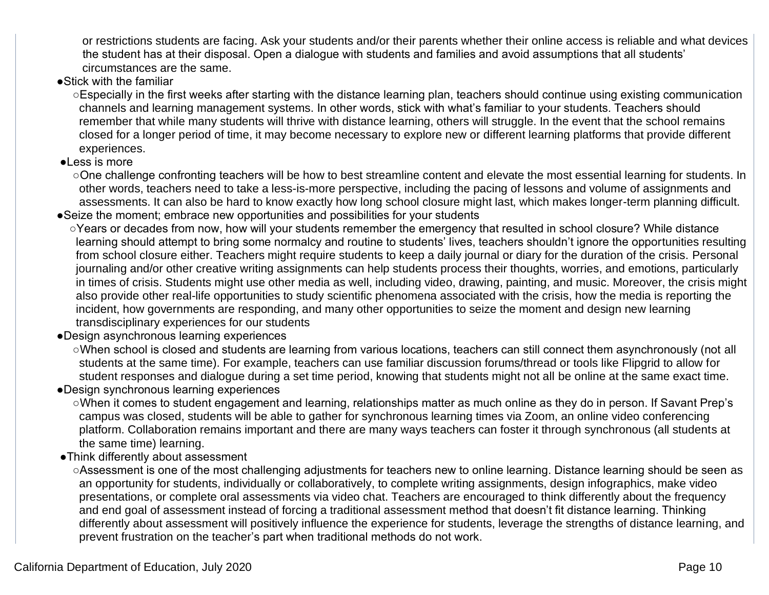or restrictions students are facing. Ask your students and/or their parents whether their online access is reliable and what devices the student has at their disposal. Open a dialogue with students and families and avoid assumptions that all students' circumstances are the same.

### ●Stick with the familiar

○Especially in the first weeks after starting with the distance learning plan, teachers should continue using existing communication channels and learning management systems. In other words, stick with what's familiar to your students. Teachers should remember that while many students will thrive with distance learning, others will struggle. In the event that the school remains closed for a longer period of time, it may become necessary to explore new or different learning platforms that provide different experiences.

#### ●Less is more

○One challenge confronting teachers will be how to best streamline content and elevate the most essential learning for students. In other words, teachers need to take a less-is-more perspective, including the pacing of lessons and volume of assignments and assessments. It can also be hard to know exactly how long school closure might last, which makes longer-term planning difficult.

- ●Seize the moment; embrace new opportunities and possibilities for your students
	- ○Years or decades from now, how will your students remember the emergency that resulted in school closure? While distance learning should attempt to bring some normalcy and routine to students' lives, teachers shouldn't ignore the opportunities resulting from school closure either. Teachers might require students to keep a daily journal or diary for the duration of the crisis. Personal journaling and/or other creative writing assignments can help students process their thoughts, worries, and emotions, particularly in times of crisis. Students might use other media as well, including video, drawing, painting, and music. Moreover, the crisis might also provide other real-life opportunities to study scientific phenomena associated with the crisis, how the media is reporting the incident, how governments are responding, and many other opportunities to seize the moment and design new learning transdisciplinary experiences for our students
- ●Design asynchronous learning experiences

 ○When school is closed and students are learning from various locations, teachers can still connect them asynchronously (not all students at the same time). For example, teachers can use familiar discussion forums/thread or tools like Flipgrid to allow for student responses and dialogue during a set time period, knowing that students might not all be online at the same exact time.

- ●Design synchronous learning experiences
	- ○When it comes to student engagement and learning, relationships matter as much online as they do in person. If Savant Prep's campus was closed, students will be able to gather for synchronous learning times via Zoom, an online video conferencing platform. Collaboration remains important and there are many ways teachers can foster it through synchronous (all students at the same time) learning.
- ●Think differently about assessment

○Assessment is one of the most challenging adjustments for teachers new to online learning. Distance learning should be seen as an opportunity for students, individually or collaboratively, to complete writing assignments, design infographics, make video presentations, or complete oral assessments via video chat. Teachers are encouraged to think differently about the frequency and end goal of assessment instead of forcing a traditional assessment method that doesn't fit distance learning. Thinking differently about assessment will positively influence the experience for students, leverage the strengths of distance learning, and prevent frustration on the teacher's part when traditional methods do not work.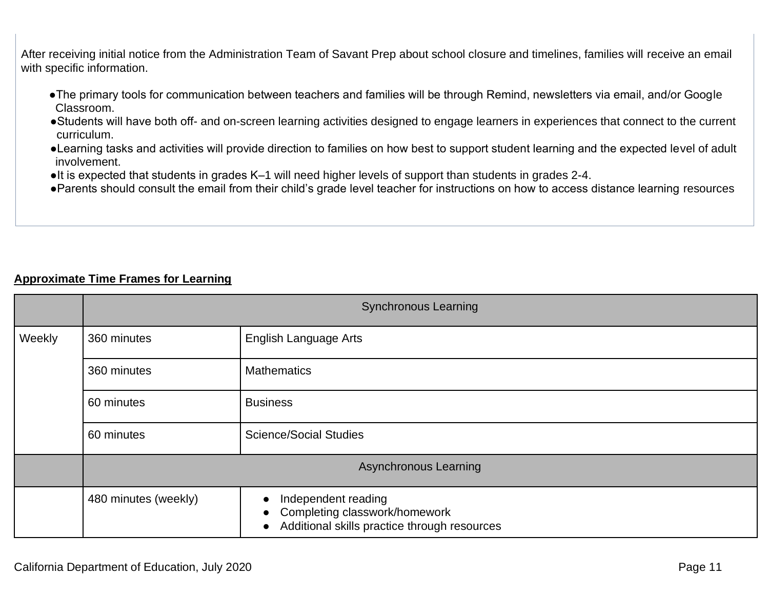After receiving initial notice from the Administration Team of Savant Prep about school closure and timelines, families will receive an email with specific information.

- ●The primary tools for communication between teachers and families will be through Remind, newsletters via email, and/or Google Classroom.
- ●Students will have both off- and on-screen learning activities designed to engage learners in experiences that connect to the current curriculum.
- ●Learning tasks and activities will provide direction to families on how best to support student learning and the expected level of adult involvement.
- ●It is expected that students in grades K–1 will need higher levels of support than students in grades 2-4.
- ●Parents should consult the email from their child's grade level teacher for instructions on how to access distance learning resources

### **Approximate Time Frames for Learning**

|        | <b>Synchronous Learning</b> |                                                                                                                                |  |
|--------|-----------------------------|--------------------------------------------------------------------------------------------------------------------------------|--|
| Weekly | 360 minutes                 | <b>English Language Arts</b>                                                                                                   |  |
|        | 360 minutes                 | <b>Mathematics</b>                                                                                                             |  |
|        | 60 minutes                  | <b>Business</b>                                                                                                                |  |
|        | 60 minutes                  | <b>Science/Social Studies</b>                                                                                                  |  |
|        |                             | <b>Asynchronous Learning</b>                                                                                                   |  |
|        | 480 minutes (weekly)        | Independent reading<br>Completing classwork/homework<br>$\bullet$<br>Additional skills practice through resources<br>$\bullet$ |  |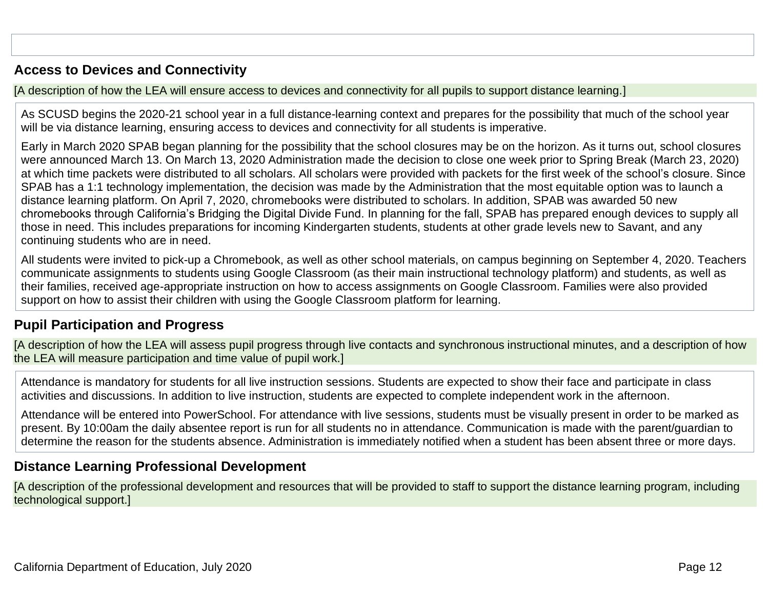## **Access to Devices and Connectivity**

[A description of how the LEA will ensure access to devices and connectivity for all pupils to support distance learning.]

As SCUSD begins the 2020-21 school year in a full distance-learning context and prepares for the possibility that much of the school year will be via distance learning, ensuring access to devices and connectivity for all students is imperative.

Early in March 2020 SPAB began planning for the possibility that the school closures may be on the horizon. As it turns out, school closures were announced March 13. On March 13, 2020 Administration made the decision to close one week prior to Spring Break (March 23, 2020) at which time packets were distributed to all scholars. All scholars were provided with packets for the first week of the school's closure. Since SPAB has a 1:1 technology implementation, the decision was made by the Administration that the most equitable option was to launch a distance learning platform. On April 7, 2020, chromebooks were distributed to scholars. In addition, SPAB was awarded 50 new chromebooks through California's Bridging the Digital Divide Fund. In planning for the fall, SPAB has prepared enough devices to supply all those in need. This includes preparations for incoming Kindergarten students, students at other grade levels new to Savant, and any continuing students who are in need.

All students were invited to pick-up a Chromebook, as well as other school materials, on campus beginning on September 4, 2020. Teachers communicate assignments to students using Google Classroom (as their main instructional technology platform) and students, as well as their families, received age-appropriate instruction on how to access assignments on Google Classroom. Families were also provided support on how to assist their children with using the Google Classroom platform for learning.

## **Pupil Participation and Progress**

[A description of how the LEA will assess pupil progress through live contacts and synchronous instructional minutes, and a description of how the LEA will measure participation and time value of pupil work.]

Attendance is mandatory for students for all live instruction sessions. Students are expected to show their face and participate in class activities and discussions. In addition to live instruction, students are expected to complete independent work in the afternoon.

Attendance will be entered into PowerSchool. For attendance with live sessions, students must be visually present in order to be marked as present. By 10:00am the daily absentee report is run for all students no in attendance. Communication is made with the parent/guardian to determine the reason for the students absence. Administration is immediately notified when a student has been absent three or more days.

## **Distance Learning Professional Development**

[A description of the professional development and resources that will be provided to staff to support the distance learning program, including technological support.]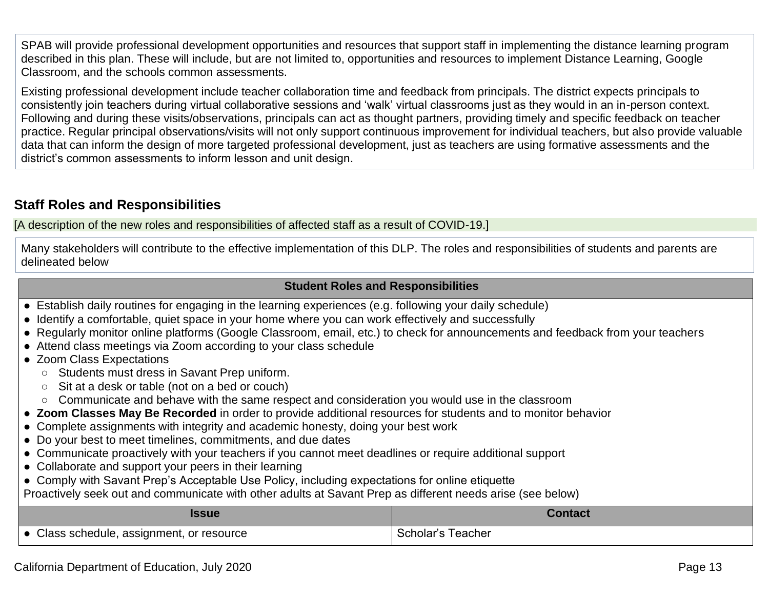SPAB will provide professional development opportunities and resources that support staff in implementing the distance learning program described in this plan. These will include, but are not limited to, opportunities and resources to implement Distance Learning, Google Classroom, and the schools common assessments.

Existing professional development include teacher collaboration time and feedback from principals. The district expects principals to consistently join teachers during virtual collaborative sessions and 'walk' virtual classrooms just as they would in an in-person context. Following and during these visits/observations, principals can act as thought partners, providing timely and specific feedback on teacher practice. Regular principal observations/visits will not only support continuous improvement for individual teachers, but also provide valuable data that can inform the design of more targeted professional development, just as teachers are using formative assessments and the district's common assessments to inform lesson and unit design.

## **Staff Roles and Responsibilities**

[A description of the new roles and responsibilities of affected staff as a result of COVID-19.]

Many stakeholders will contribute to the effective implementation of this DLP. The roles and responsibilities of students and parents are delineated below

#### **Student Roles and Responsibilities**

- Establish daily routines for engaging in the learning experiences (e.g. following your daily schedule)
- Identify a comfortable, quiet space in your home where you can work effectively and successfully
- Regularly monitor online platforms (Google Classroom, email, etc.) to check for announcements and feedback from your teachers
- Attend class meetings via Zoom according to your class schedule
- Zoom Class Expectations
	- Students must dress in Savant Prep uniform.
	- Sit at a desk or table (not on a bed or couch)
	- Communicate and behave with the same respect and consideration you would use in the classroom
- **Zoom Classes May Be Recorded** in order to provide additional resources for students and to monitor behavior
- Complete assignments with integrity and academic honesty, doing your best work
- Do your best to meet timelines, commitments, and due dates
- Communicate proactively with your teachers if you cannot meet deadlines or require additional support
- Collaborate and support your peers in their learning
- Comply with Savant Prep's Acceptable Use Policy, including expectations for online etiquette
- Proactively seek out and communicate with other adults at Savant Prep as different needs arise (see below)

| <b>SSUE</b>                             | $\blacksquare$ ontact $\blacksquare$ |
|-----------------------------------------|--------------------------------------|
| Class schedule, assignment, or resource | Scholar's Teacher                    |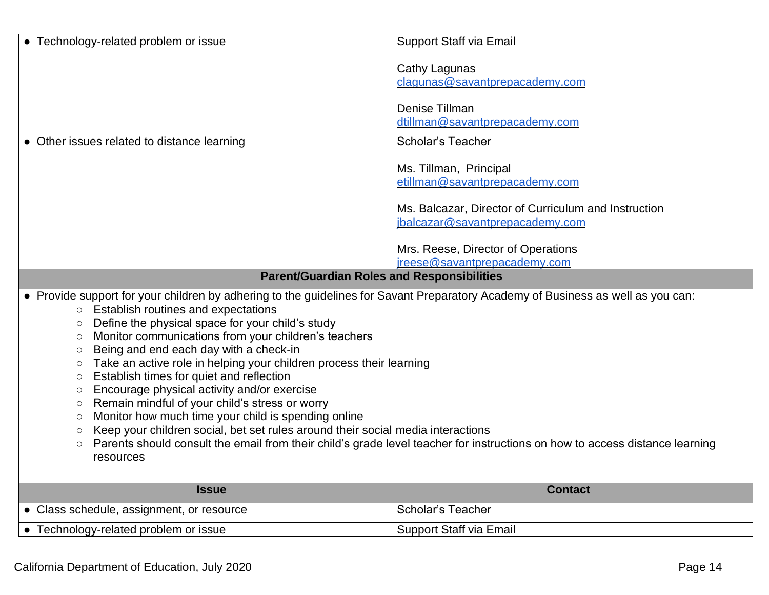| • Technology-related problem or issue                                                                                                                                                                                                                                                                                                                                                                                                                                                                                                                                                                                                                 | Support Staff via Email                                                                                                     |
|-------------------------------------------------------------------------------------------------------------------------------------------------------------------------------------------------------------------------------------------------------------------------------------------------------------------------------------------------------------------------------------------------------------------------------------------------------------------------------------------------------------------------------------------------------------------------------------------------------------------------------------------------------|-----------------------------------------------------------------------------------------------------------------------------|
|                                                                                                                                                                                                                                                                                                                                                                                                                                                                                                                                                                                                                                                       | Cathy Lagunas                                                                                                               |
|                                                                                                                                                                                                                                                                                                                                                                                                                                                                                                                                                                                                                                                       | clagunas@savantprepacademy.com                                                                                              |
|                                                                                                                                                                                                                                                                                                                                                                                                                                                                                                                                                                                                                                                       | Denise Tillman                                                                                                              |
|                                                                                                                                                                                                                                                                                                                                                                                                                                                                                                                                                                                                                                                       | dtillman@savantprepacademy.com                                                                                              |
| • Other issues related to distance learning                                                                                                                                                                                                                                                                                                                                                                                                                                                                                                                                                                                                           | <b>Scholar's Teacher</b>                                                                                                    |
|                                                                                                                                                                                                                                                                                                                                                                                                                                                                                                                                                                                                                                                       | Ms. Tillman, Principal                                                                                                      |
|                                                                                                                                                                                                                                                                                                                                                                                                                                                                                                                                                                                                                                                       | etillman@savantprepacademy.com                                                                                              |
|                                                                                                                                                                                                                                                                                                                                                                                                                                                                                                                                                                                                                                                       | Ms. Balcazar, Director of Curriculum and Instruction                                                                        |
|                                                                                                                                                                                                                                                                                                                                                                                                                                                                                                                                                                                                                                                       | jbalcazar@savantprepacademy.com                                                                                             |
|                                                                                                                                                                                                                                                                                                                                                                                                                                                                                                                                                                                                                                                       | Mrs. Reese, Director of Operations                                                                                          |
|                                                                                                                                                                                                                                                                                                                                                                                                                                                                                                                                                                                                                                                       | ireese@savantprepacademy.com                                                                                                |
| <b>Parent/Guardian Roles and Responsibilities</b>                                                                                                                                                                                                                                                                                                                                                                                                                                                                                                                                                                                                     |                                                                                                                             |
| . Provide support for your children by adhering to the guidelines for Savant Preparatory Academy of Business as well as you can:<br>Establish routines and expectations<br>$\circlearrowright$<br>Define the physical space for your child's study<br>$\circ$<br>Monitor communications from your children's teachers<br>$\circ$<br>Being and end each day with a check-in<br>$\circ$<br>Take an active role in helping your children process their learning<br>$\circ$<br>Establish times for quiet and reflection<br>$\circ$<br>Encourage physical activity and/or exercise<br>$\circ$<br>Remain mindful of your child's stress or worry<br>$\circ$ |                                                                                                                             |
| Monitor how much time your child is spending online<br>$\circ$                                                                                                                                                                                                                                                                                                                                                                                                                                                                                                                                                                                        |                                                                                                                             |
| Keep your children social, bet set rules around their social media interactions<br>$\circ$<br>$\circ$<br>resources                                                                                                                                                                                                                                                                                                                                                                                                                                                                                                                                    | Parents should consult the email from their child's grade level teacher for instructions on how to access distance learning |
| <b>Issue</b>                                                                                                                                                                                                                                                                                                                                                                                                                                                                                                                                                                                                                                          | <b>Contact</b>                                                                                                              |
| • Class schedule, assignment, or resource                                                                                                                                                                                                                                                                                                                                                                                                                                                                                                                                                                                                             | <b>Scholar's Teacher</b>                                                                                                    |
| • Technology-related problem or issue                                                                                                                                                                                                                                                                                                                                                                                                                                                                                                                                                                                                                 | Support Staff via Email                                                                                                     |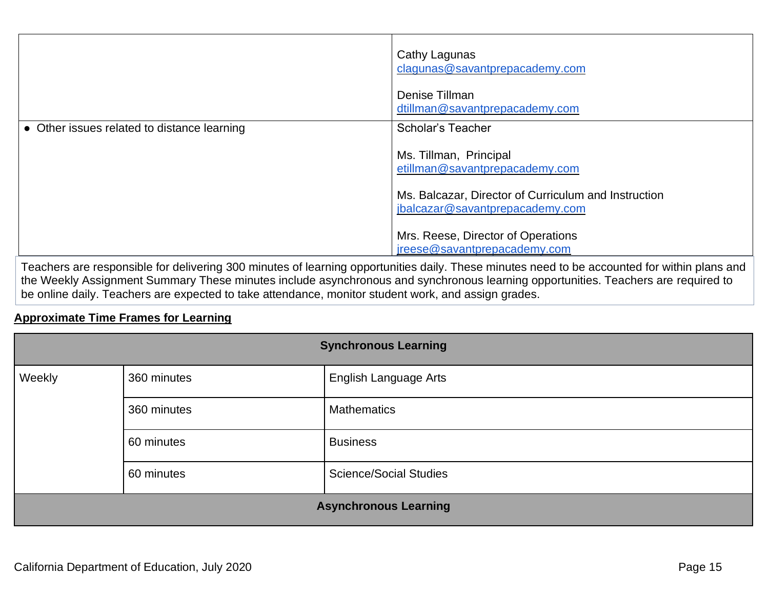|                                             | Cathy Lagunas<br>clagunas@savantprepacademy.com<br>Denise Tillman<br>dtillman@savantprepacademy.com |
|---------------------------------------------|-----------------------------------------------------------------------------------------------------|
| • Other issues related to distance learning | <b>Scholar's Teacher</b><br>Ms. Tillman, Principal<br>etillman@savantprepacademy.com                |
|                                             | Ms. Balcazar, Director of Curriculum and Instruction<br>jbalcazar@savantprepacademy.com             |
|                                             | Mrs. Reese, Director of Operations<br>jreese@savantprepacademy.com                                  |

Teachers are responsible for delivering 300 minutes of learning opportunities daily. These minutes need to be accounted for within plans and the Weekly Assignment Summary These minutes include asynchronous and synchronous learning opportunities. Teachers are required to be online daily. Teachers are expected to take attendance, monitor student work, and assign grades.

### **Approximate Time Frames for Learning**

| <b>Synchronous Learning</b>  |             |                               |
|------------------------------|-------------|-------------------------------|
| Weekly                       | 360 minutes | English Language Arts         |
|                              | 360 minutes | <b>Mathematics</b>            |
|                              | 60 minutes  | <b>Business</b>               |
|                              | 60 minutes  | <b>Science/Social Studies</b> |
| <b>Asynchronous Learning</b> |             |                               |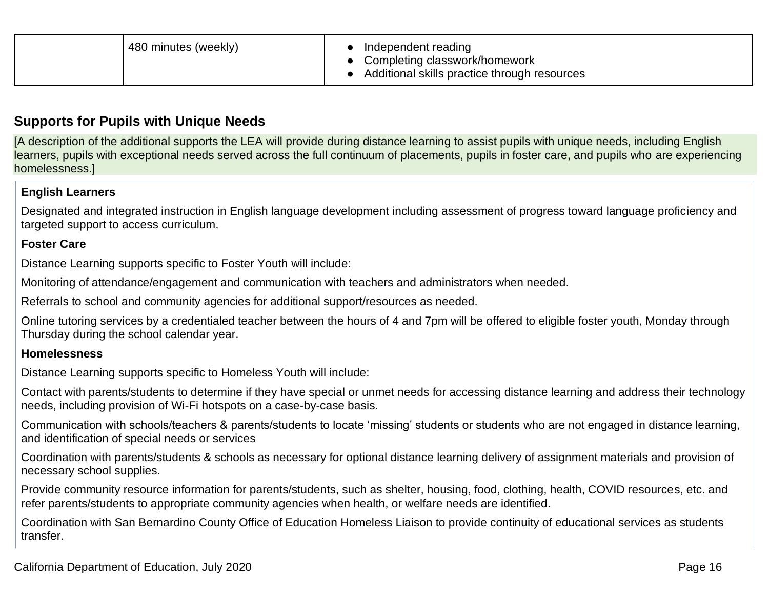| 480 minutes (weekly) | Independent reading<br>Completing classwork/homework<br>Additional skills practice through resources |
|----------------------|------------------------------------------------------------------------------------------------------|
|----------------------|------------------------------------------------------------------------------------------------------|

## **Supports for Pupils with Unique Needs**

[A description of the additional supports the LEA will provide during distance learning to assist pupils with unique needs, including English learners, pupils with exceptional needs served across the full continuum of placements, pupils in foster care, and pupils who are experiencing homelessness.]

#### **English Learners**

Designated and integrated instruction in English language development including assessment of progress toward language proficiency and targeted support to access curriculum.

#### **Foster Care**

Distance Learning supports specific to Foster Youth will include:

Monitoring of attendance/engagement and communication with teachers and administrators when needed.

Referrals to school and community agencies for additional support/resources as needed.

Online tutoring services by a credentialed teacher between the hours of 4 and 7pm will be offered to eligible foster youth, Monday through Thursday during the school calendar year.

#### **Homelessness**

Distance Learning supports specific to Homeless Youth will include:

Contact with parents/students to determine if they have special or unmet needs for accessing distance learning and address their technology needs, including provision of Wi-Fi hotspots on a case-by-case basis.

Communication with schools/teachers & parents/students to locate 'missing' students or students who are not engaged in distance learning, and identification of special needs or services

Coordination with parents/students & schools as necessary for optional distance learning delivery of assignment materials and provision of necessary school supplies.

Provide community resource information for parents/students, such as shelter, housing, food, clothing, health, COVID resources, etc. and refer parents/students to appropriate community agencies when health, or welfare needs are identified.

Coordination with San Bernardino County Office of Education Homeless Liaison to provide continuity of educational services as students transfer.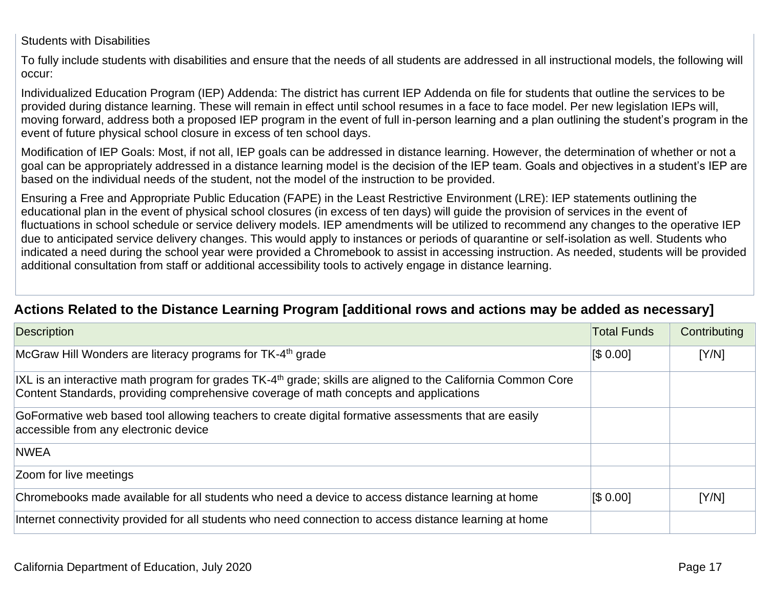Students with Disabilities

To fully include students with disabilities and ensure that the needs of all students are addressed in all instructional models, the following will occur:

Individualized Education Program (IEP) Addenda: The district has current IEP Addenda on file for students that outline the services to be provided during distance learning. These will remain in effect until school resumes in a face to face model. Per new legislation IEPs will, moving forward, address both a proposed IEP program in the event of full in-person learning and a plan outlining the student's program in the event of future physical school closure in excess of ten school days.

Modification of IEP Goals: Most, if not all, IEP goals can be addressed in distance learning. However, the determination of whether or not a goal can be appropriately addressed in a distance learning model is the decision of the IEP team. Goals and objectives in a student's IEP are based on the individual needs of the student, not the model of the instruction to be provided.

Ensuring a Free and Appropriate Public Education (FAPE) in the Least Restrictive Environment (LRE): IEP statements outlining the educational plan in the event of physical school closures (in excess of ten days) will guide the provision of services in the event of fluctuations in school schedule or service delivery models. IEP amendments will be utilized to recommend any changes to the operative IEP due to anticipated service delivery changes. This would apply to instances or periods of quarantine or self-isolation as well. Students who indicated a need during the school year were provided a Chromebook to assist in accessing instruction. As needed, students will be provided additional consultation from staff or additional accessibility tools to actively engage in distance learning.

## **Actions Related to the Distance Learning Program [additional rows and actions may be added as necessary]**

| Description                                                                                                                                                                                             | <b>Total Funds</b> | Contributing |
|---------------------------------------------------------------------------------------------------------------------------------------------------------------------------------------------------------|--------------------|--------------|
| McGraw Hill Wonders are literacy programs for TK-4 <sup>th</sup> grade                                                                                                                                  | [\$0.00]           | [Y/N]        |
| IXL is an interactive math program for grades $TK-4th$ grade; skills are aligned to the California Common Core<br>Content Standards, providing comprehensive coverage of math concepts and applications |                    |              |
| GoFormative web based tool allowing teachers to create digital formative assessments that are easily<br>accessible from any electronic device                                                           |                    |              |
| <b>NWEA</b>                                                                                                                                                                                             |                    |              |
| Zoom for live meetings                                                                                                                                                                                  |                    |              |
| Chromebooks made available for all students who need a device to access distance learning at home                                                                                                       | [\$0.00]           | [Y/N]        |
| Internet connectivity provided for all students who need connection to access distance learning at home                                                                                                 |                    |              |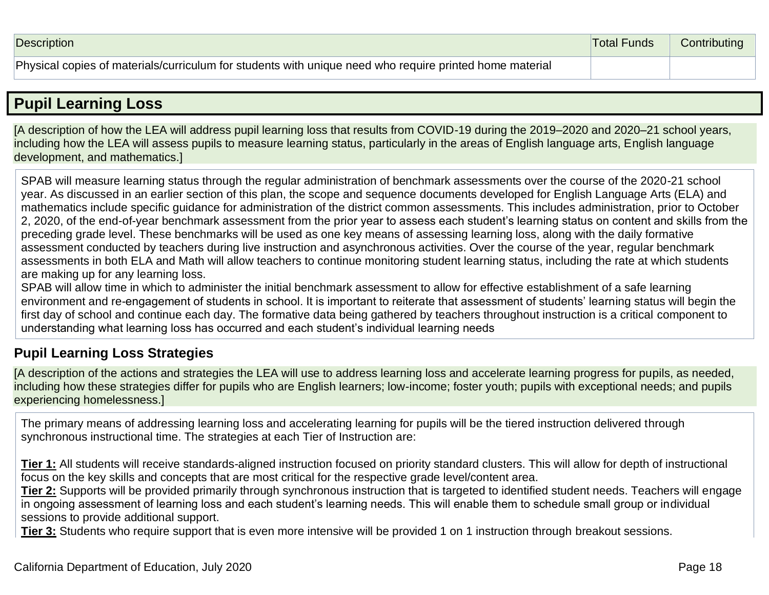## **Pupil Learning Loss**

[A description of how the LEA will address pupil learning loss that results from COVID-19 during the 2019–2020 and 2020–21 school years, including how the LEA will assess pupils to measure learning status, particularly in the areas of English language arts, English language development, and mathematics.]

SPAB will measure learning status through the regular administration of benchmark assessments over the course of the 2020-21 school year. As discussed in an earlier section of this plan, the scope and sequence documents developed for English Language Arts (ELA) and mathematics include specific guidance for administration of the district common assessments. This includes administration, prior to October 2, 2020, of the end-of-year benchmark assessment from the prior year to assess each student's learning status on content and skills from the preceding grade level. These benchmarks will be used as one key means of assessing learning loss, along with the daily formative assessment conducted by teachers during live instruction and asynchronous activities. Over the course of the year, regular benchmark assessments in both ELA and Math will allow teachers to continue monitoring student learning status, including the rate at which students are making up for any learning loss.

SPAB will allow time in which to administer the initial benchmark assessment to allow for effective establishment of a safe learning environment and re-engagement of students in school. It is important to reiterate that assessment of students' learning status will begin the first day of school and continue each day. The formative data being gathered by teachers throughout instruction is a critical component to understanding what learning loss has occurred and each student's individual learning needs

## **Pupil Learning Loss Strategies**

[A description of the actions and strategies the LEA will use to address learning loss and accelerate learning progress for pupils, as needed, including how these strategies differ for pupils who are English learners; low-income; foster youth; pupils with exceptional needs; and pupils experiencing homelessness.]

The primary means of addressing learning loss and accelerating learning for pupils will be the tiered instruction delivered through synchronous instructional time. The strategies at each Tier of Instruction are:

**Tier 1:** All students will receive standards-aligned instruction focused on priority standard clusters. This will allow for depth of instructional focus on the key skills and concepts that are most critical for the respective grade level/content area.

**Tier 2:** Supports will be provided primarily through synchronous instruction that is targeted to identified student needs. Teachers will engage in ongoing assessment of learning loss and each student's learning needs. This will enable them to schedule small group or individual sessions to provide additional support.

**Tier 3:** Students who require support that is even more intensive will be provided 1 on 1 instruction through breakout sessions.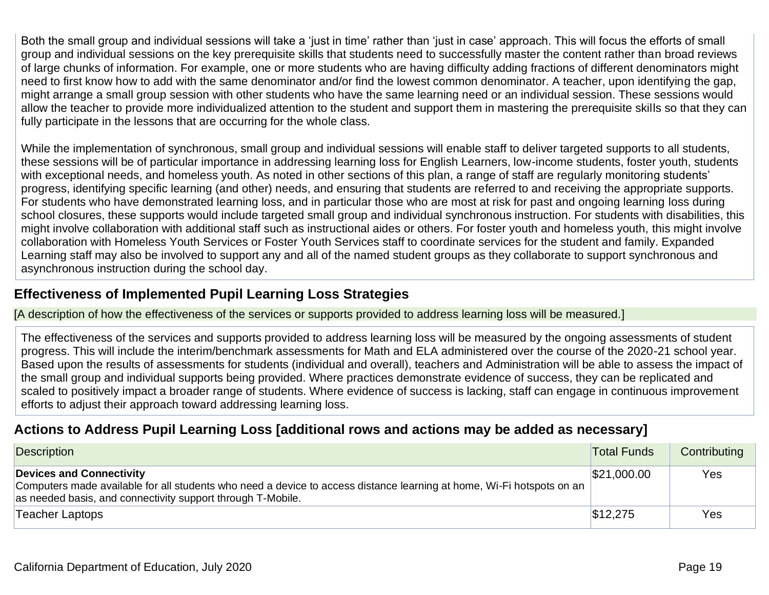Both the small group and individual sessions will take a 'just in time' rather than 'just in case' approach. This will focus the efforts of small group and individual sessions on the key prerequisite skills that students need to successfully master the content rather than broad reviews of large chunks of information. For example, one or more students who are having difficulty adding fractions of different denominators might need to first know how to add with the same denominator and/or find the lowest common denominator. A teacher, upon identifying the gap, might arrange a small group session with other students who have the same learning need or an individual session. These sessions would allow the teacher to provide more individualized attention to the student and support them in mastering the prerequisite skills so that they can fully participate in the lessons that are occurring for the whole class.

While the implementation of synchronous, small group and individual sessions will enable staff to deliver targeted supports to all students, these sessions will be of particular importance in addressing learning loss for English Learners, low-income students, foster youth, students with exceptional needs, and homeless youth. As noted in other sections of this plan, a range of staff are regularly monitoring students' progress, identifying specific learning (and other) needs, and ensuring that students are referred to and receiving the appropriate supports. For students who have demonstrated learning loss, and in particular those who are most at risk for past and ongoing learning loss during school closures, these supports would include targeted small group and individual synchronous instruction. For students with disabilities, this might involve collaboration with additional staff such as instructional aides or others. For foster youth and homeless youth, this might involve collaboration with Homeless Youth Services or Foster Youth Services staff to coordinate services for the student and family. Expanded Learning staff may also be involved to support any and all of the named student groups as they collaborate to support synchronous and asynchronous instruction during the school day.

## **Effectiveness of Implemented Pupil Learning Loss Strategies**

[A description of how the effectiveness of the services or supports provided to address learning loss will be measured.]

The effectiveness of the services and supports provided to address learning loss will be measured by the ongoing assessments of student progress. This will include the interim/benchmark assessments for Math and ELA administered over the course of the 2020-21 school year. Based upon the results of assessments for students (individual and overall), teachers and Administration will be able to assess the impact of the small group and individual supports being provided. Where practices demonstrate evidence of success, they can be replicated and scaled to positively impact a broader range of students. Where evidence of success is lacking, staff can engage in continuous improvement efforts to adjust their approach toward addressing learning loss.

## **Actions to Address Pupil Learning Loss [additional rows and actions may be added as necessary]**

| Description                                                                                                                                                                                                      | <b>Total Funds</b> | Contributing |
|------------------------------------------------------------------------------------------------------------------------------------------------------------------------------------------------------------------|--------------------|--------------|
| Devices and Connectivity<br>Computers made available for all students who need a device to access distance learning at home, Wi-Fi hotspots on an<br>as needed basis, and connectivity support through T-Mobile. | \$21,000.00        | Yes          |
| Teacher Laptops                                                                                                                                                                                                  | \$12,275           | Yes          |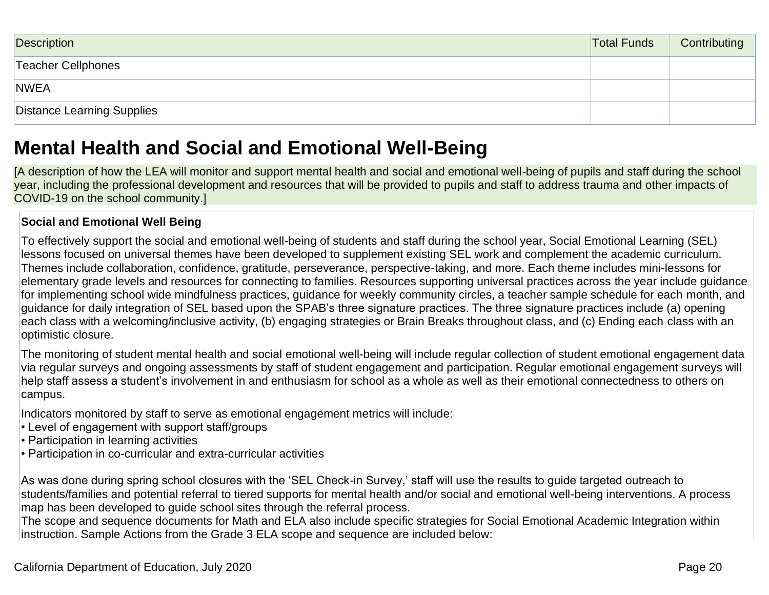| Description                | <b>Total Funds</b> | Contributing |
|----------------------------|--------------------|--------------|
| Teacher Cellphones         |                    |              |
| <b>NWEA</b>                |                    |              |
| Distance Learning Supplies |                    |              |

## **Mental Health and Social and Emotional Well-Being**

[A description of how the LEA will monitor and support mental health and social and emotional well-being of pupils and staff during the school year, including the professional development and resources that will be provided to pupils and staff to address trauma and other impacts of COVID-19 on the school community.]

## **Social and Emotional Well Being**

To effectively support the social and emotional well-being of students and staff during the school year, Social Emotional Learning (SEL) lessons focused on universal themes have been developed to supplement existing SEL work and complement the academic curriculum. Themes include collaboration, confidence, gratitude, perseverance, perspective-taking, and more. Each theme includes mini-lessons for elementary grade levels and resources for connecting to families. Resources supporting universal practices across the year include guidance for implementing school wide mindfulness practices, guidance for weekly community circles, a teacher sample schedule for each month, and guidance for daily integration of SEL based upon the SPAB's three signature practices. The three signature practices include (a) opening each class with a welcoming/inclusive activity, (b) engaging strategies or Brain Breaks throughout class, and (c) Ending each class with an optimistic closure.

The monitoring of student mental health and social emotional well-being will include regular collection of student emotional engagement data via regular surveys and ongoing assessments by staff of student engagement and participation. Regular emotional engagement surveys will help staff assess a student's involvement in and enthusiasm for school as a whole as well as their emotional connectedness to others on campus.

Indicators monitored by staff to serve as emotional engagement metrics will include:

- Level of engagement with support staff/groups
- Participation in learning activities
- Participation in co-curricular and extra-curricular activities

As was done during spring school closures with the 'SEL Check-in Survey,' staff will use the results to guide targeted outreach to students/families and potential referral to tiered supports for mental health and/or social and emotional well-being interventions. A process map has been developed to guide school sites through the referral process.

The scope and sequence documents for Math and ELA also include specific strategies for Social Emotional Academic Integration within instruction. Sample Actions from the Grade 3 ELA scope and sequence are included below: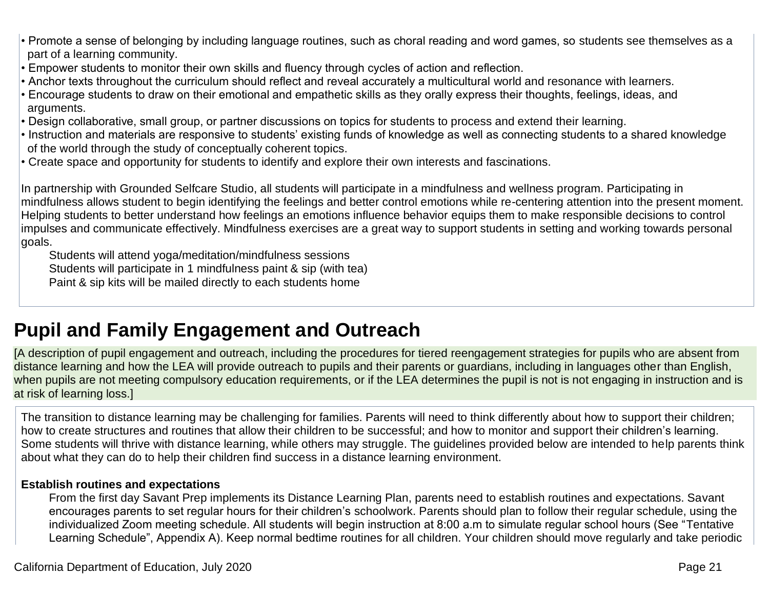- Promote a sense of belonging by including language routines, such as choral reading and word games, so students see themselves as a part of a learning community.
- Empower students to monitor their own skills and fluency through cycles of action and reflection.
- Anchor texts throughout the curriculum should reflect and reveal accurately a multicultural world and resonance with learners.
- Encourage students to draw on their emotional and empathetic skills as they orally express their thoughts, feelings, ideas, and arguments.
- Design collaborative, small group, or partner discussions on topics for students to process and extend their learning.
- Instruction and materials are responsive to students' existing funds of knowledge as well as connecting students to a shared knowledge of the world through the study of conceptually coherent topics.
- Create space and opportunity for students to identify and explore their own interests and fascinations.

In partnership with Grounded Selfcare Studio, all students will participate in a mindfulness and wellness program. Participating in mindfulness allows student to begin identifying the feelings and better control emotions while re-centering attention into the present moment. Helping students to better understand how feelings an emotions influence behavior equips them to make responsible decisions to control impulses and communicate effectively. Mindfulness exercises are a great way to support students in setting and working towards personal goals.

Students will attend yoga/meditation/mindfulness sessions Students will participate in 1 mindfulness paint & sip (with tea) Paint & sip kits will be mailed directly to each students home

# **Pupil and Family Engagement and Outreach**

[A description of pupil engagement and outreach, including the procedures for tiered reengagement strategies for pupils who are absent from distance learning and how the LEA will provide outreach to pupils and their parents or guardians, including in languages other than English, when pupils are not meeting compulsory education requirements, or if the LEA determines the pupil is not is not engaging in instruction and is at risk of learning loss.]

The transition to distance learning may be challenging for families. Parents will need to think differently about how to support their children; how to create structures and routines that allow their children to be successful; and how to monitor and support their children's learning. Some students will thrive with distance learning, while others may struggle. The guidelines provided below are intended to help parents think about what they can do to help their children find success in a distance learning environment.

#### **Establish routines and expectations**

From the first day Savant Prep implements its Distance Learning Plan, parents need to establish routines and expectations. Savant encourages parents to set regular hours for their children's schoolwork. Parents should plan to follow their regular schedule, using the individualized Zoom meeting schedule. All students will begin instruction at 8:00 a.m to simulate regular school hours (See "Tentative Learning Schedule", Appendix A). Keep normal bedtime routines for all children. Your children should move regularly and take periodic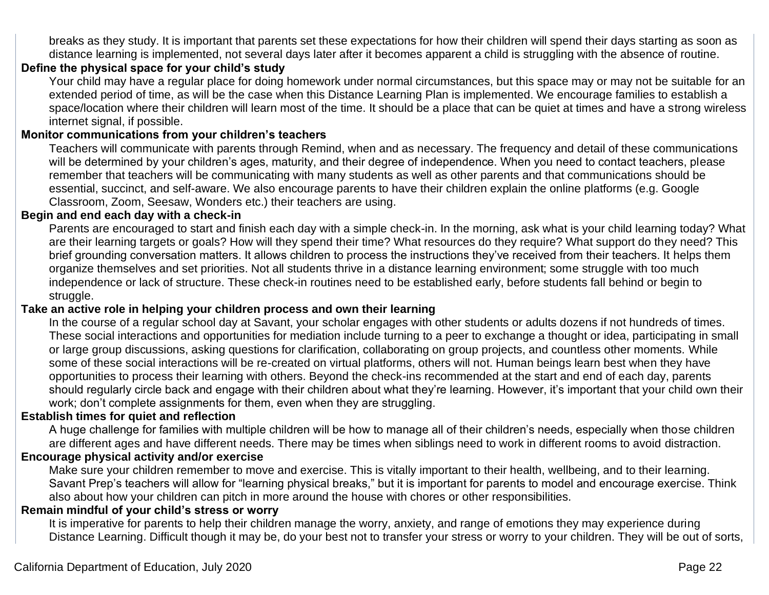breaks as they study. It is important that parents set these expectations for how their children will spend their days starting as soon as distance learning is implemented, not several days later after it becomes apparent a child is struggling with the absence of routine.

### **Define the physical space for your child's study**

Your child may have a regular place for doing homework under normal circumstances, but this space may or may not be suitable for an extended period of time, as will be the case when this Distance Learning Plan is implemented. We encourage families to establish a space/location where their children will learn most of the time. It should be a place that can be quiet at times and have a strong wireless internet signal, if possible.

### **Monitor communications from your children's teachers**

Teachers will communicate with parents through Remind, when and as necessary. The frequency and detail of these communications will be determined by your children's ages, maturity, and their degree of independence. When you need to contact teachers, please remember that teachers will be communicating with many students as well as other parents and that communications should be essential, succinct, and self-aware. We also encourage parents to have their children explain the online platforms (e.g. Google Classroom, Zoom, Seesaw, Wonders etc.) their teachers are using.

### **Begin and end each day with a check-in**

Parents are encouraged to start and finish each day with a simple check-in. In the morning, ask what is your child learning today? What are their learning targets or goals? How will they spend their time? What resources do they require? What support do they need? This brief grounding conversation matters. It allows children to process the instructions they've received from their teachers. It helps them organize themselves and set priorities. Not all students thrive in a distance learning environment; some struggle with too much independence or lack of structure. These check-in routines need to be established early, before students fall behind or begin to struggle.

### **Take an active role in helping your children process and own their learning**

In the course of a regular school day at Savant, your scholar engages with other students or adults dozens if not hundreds of times. These social interactions and opportunities for mediation include turning to a peer to exchange a thought or idea, participating in small or large group discussions, asking questions for clarification, collaborating on group projects, and countless other moments. While some of these social interactions will be re-created on virtual platforms, others will not. Human beings learn best when they have opportunities to process their learning with others. Beyond the check-ins recommended at the start and end of each day, parents should regularly circle back and engage with their children about what they're learning. However, it's important that your child own their work; don't complete assignments for them, even when they are struggling.

#### **Establish times for quiet and reflection**

A huge challenge for families with multiple children will be how to manage all of their children's needs, especially when those children are different ages and have different needs. There may be times when siblings need to work in different rooms to avoid distraction.

#### **Encourage physical activity and/or exercise**

Make sure your children remember to move and exercise. This is vitally important to their health, wellbeing, and to their learning. Savant Prep's teachers will allow for "learning physical breaks," but it is important for parents to model and encourage exercise. Think also about how your children can pitch in more around the house with chores or other responsibilities.

#### **Remain mindful of your child's stress or worry**

It is imperative for parents to help their children manage the worry, anxiety, and range of emotions they may experience during Distance Learning. Difficult though it may be, do your best not to transfer your stress or worry to your children. They will be out of sorts,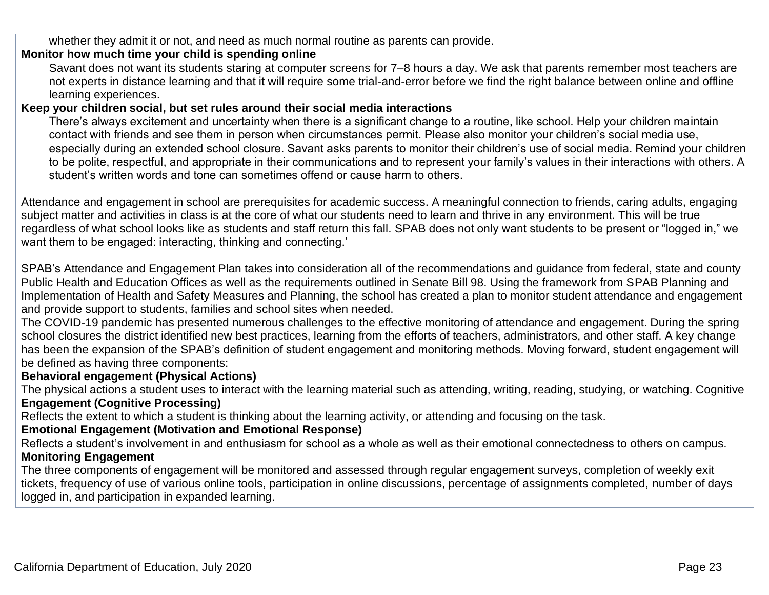whether they admit it or not, and need as much normal routine as parents can provide.

## **Monitor how much time your child is spending online**

Savant does not want its students staring at computer screens for 7–8 hours a day. We ask that parents remember most teachers are not experts in distance learning and that it will require some trial-and-error before we find the right balance between online and offline learning experiences.

### **Keep your children social, but set rules around their social media interactions**

There's always excitement and uncertainty when there is a significant change to a routine, like school. Help your children maintain contact with friends and see them in person when circumstances permit. Please also monitor your children's social media use, especially during an extended school closure. Savant asks parents to monitor their children's use of social media. Remind your children to be polite, respectful, and appropriate in their communications and to represent your family's values in their interactions with others. A student's written words and tone can sometimes offend or cause harm to others.

Attendance and engagement in school are prerequisites for academic success. A meaningful connection to friends, caring adults, engaging subject matter and activities in class is at the core of what our students need to learn and thrive in any environment. This will be true regardless of what school looks like as students and staff return this fall. SPAB does not only want students to be present or "logged in," we want them to be engaged: interacting, thinking and connecting.'

SPAB's Attendance and Engagement Plan takes into consideration all of the recommendations and guidance from federal, state and county Public Health and Education Offices as well as the requirements outlined in Senate Bill 98. Using the framework from SPAB Planning and Implementation of Health and Safety Measures and Planning, the school has created a plan to monitor student attendance and engagement and provide support to students, families and school sites when needed.

The COVID-19 pandemic has presented numerous challenges to the effective monitoring of attendance and engagement. During the spring school closures the district identified new best practices, learning from the efforts of teachers, administrators, and other staff. A key change has been the expansion of the SPAB's definition of student engagement and monitoring methods. Moving forward, student engagement will be defined as having three components:

## **Behavioral engagement (Physical Actions)**

The physical actions a student uses to interact with the learning material such as attending, writing, reading, studying, or watching. Cognitive **Engagement (Cognitive Processing)**

Reflects the extent to which a student is thinking about the learning activity, or attending and focusing on the task.

## **Emotional Engagement (Motivation and Emotional Response)**

Reflects a student's involvement in and enthusiasm for school as a whole as well as their emotional connectedness to others on campus. **Monitoring Engagement**

The three components of engagement will be monitored and assessed through regular engagement surveys, completion of weekly exit tickets, frequency of use of various online tools, participation in online discussions, percentage of assignments completed, number of days logged in, and participation in expanded learning.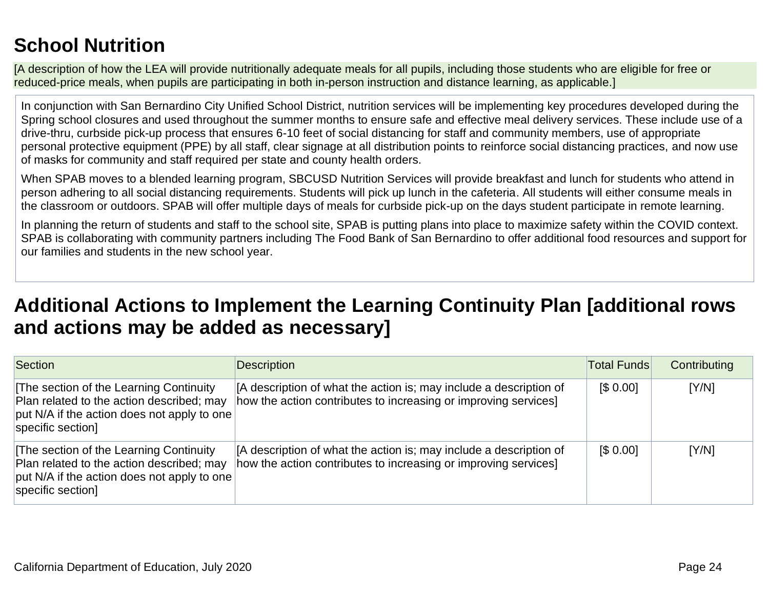## **School Nutrition**

[A description of how the LEA will provide nutritionally adequate meals for all pupils, including those students who are eligible for free or reduced-price meals, when pupils are participating in both in-person instruction and distance learning, as applicable.]

In conjunction with San Bernardino City Unified School District, nutrition services will be implementing key procedures developed during the Spring school closures and used throughout the summer months to ensure safe and effective meal delivery services. These include use of a drive-thru, curbside pick-up process that ensures 6-10 feet of social distancing for staff and community members, use of appropriate personal protective equipment (PPE) by all staff, clear signage at all distribution points to reinforce social distancing practices, and now use of masks for community and staff required per state and county health orders.

When SPAB moves to a blended learning program, SBCUSD Nutrition Services will provide breakfast and lunch for students who attend in person adhering to all social distancing requirements. Students will pick up lunch in the cafeteria. All students will either consume meals in the classroom or outdoors. SPAB will offer multiple days of meals for curbside pick-up on the days student participate in remote learning.

In planning the return of students and staff to the school site, SPAB is putting plans into place to maximize safety within the COVID context. SPAB is collaborating with community partners including The Food Bank of San Bernardino to offer additional food resources and support for our families and students in the new school year.

## **Additional Actions to Implement the Learning Continuity Plan [additional rows and actions may be added as necessary]**

| Section                                                                                                                                                 | Description                                                                                                                           | <b>Total Funds</b> | Contributing |
|---------------------------------------------------------------------------------------------------------------------------------------------------------|---------------------------------------------------------------------------------------------------------------------------------------|--------------------|--------------|
| The section of the Learning Continuity<br>Plan related to the action described; may<br>put N/A if the action does not apply to one<br>specific section] | A description of what the action is; may include a description of<br>how the action contributes to increasing or improving services]  | [\$0.00]           | [Y/N]        |
| The section of the Learning Continuity<br>Plan related to the action described; may<br>put N/A if the action does not apply to one<br>specific section] | [A description of what the action is; may include a description of<br>how the action contributes to increasing or improving services] | \$0.00]            | [Y/N]        |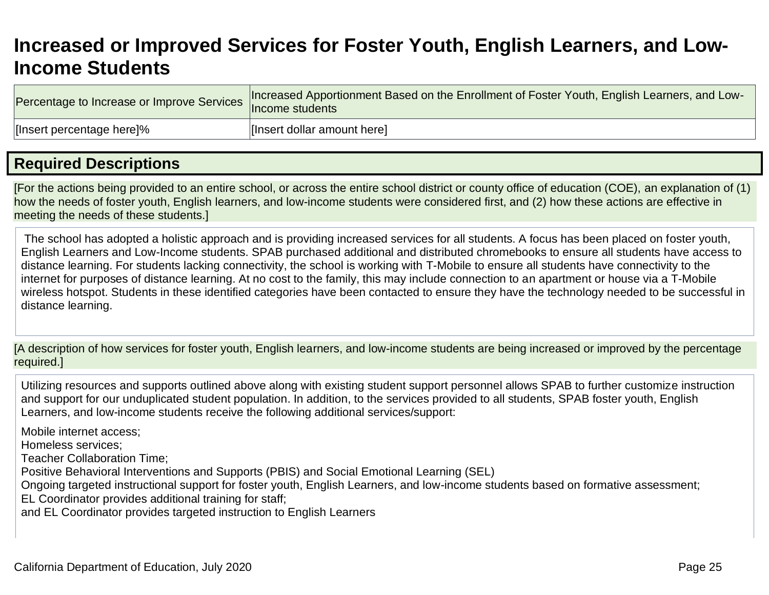## **Increased or Improved Services for Foster Youth, English Learners, and Low-Income Students**

| Percentage to Increase or Improve Services | Increased Apportionment Based on the Enrollment of Foster Youth, English Learners, and Low-<br>lncome students |
|--------------------------------------------|----------------------------------------------------------------------------------------------------------------|
| [Insert percentage here]%                  | [Insert dollar amount here]                                                                                    |

## **Required Descriptions**

[For the actions being provided to an entire school, or across the entire school district or county office of education (COE), an explanation of (1) how the needs of foster youth, English learners, and low-income students were considered first, and (2) how these actions are effective in meeting the needs of these students.]

The school has adopted a holistic approach and is providing increased services for all students. A focus has been placed on foster youth, English Learners and Low-Income students. SPAB purchased additional and distributed chromebooks to ensure all students have access to distance learning. For students lacking connectivity, the school is working with T-Mobile to ensure all students have connectivity to the internet for purposes of distance learning. At no cost to the family, this may include connection to an apartment or house via a T-Mobile wireless hotspot. Students in these identified categories have been contacted to ensure they have the technology needed to be successful in distance learning.

[A description of how services for foster youth, English learners, and low-income students are being increased or improved by the percentage required.]

Utilizing resources and supports outlined above along with existing student support personnel allows SPAB to further customize instruction and support for our unduplicated student population. In addition, to the services provided to all students, SPAB foster youth, English Learners, and low-income students receive the following additional services/support:

Mobile internet access;

Homeless services;

Teacher Collaboration Time;

Positive Behavioral Interventions and Supports (PBIS) and Social Emotional Learning (SEL)

Ongoing targeted instructional support for foster youth, English Learners, and low-income students based on formative assessment; EL Coordinator provides additional training for staff;

and EL Coordinator provides targeted instruction to English Learners